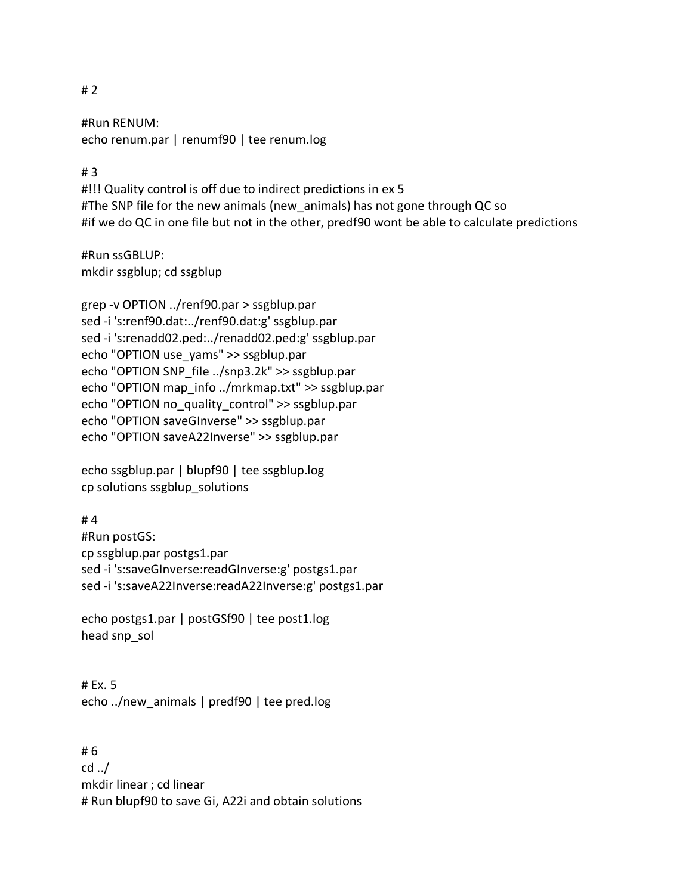## #Run RENUM:

echo renum.par | renumf90 | tee renum.log

## # 3

#!!! Quality control is off due to indirect predictions in ex 5 #The SNP file for the new animals (new animals) has not gone through QC so #if we do QC in one file but not in the other, predf90 wont be able to calculate predictions

#Run ssGBLUP: mkdir ssgblup; cd ssgblup

grep -v OPTION ../renf90.par > ssgblup.par sed -i 's:renf90.dat:../renf90.dat:g' ssgblup.par sed -i 's:renadd02.ped:../renadd02.ped:g' ssgblup.par echo "OPTION use\_yams" >> ssgblup.par echo "OPTION SNP\_file ../snp3.2k" >> ssgblup.par echo "OPTION map\_info ../mrkmap.txt" >> ssgblup.par echo "OPTION no\_quality\_control" >> ssgblup.par echo "OPTION saveGInverse" >> ssgblup.par echo "OPTION saveA22Inverse" >> ssgblup.par

echo ssgblup.par | blupf90 | tee ssgblup.log cp solutions ssgblup\_solutions

# 4 #Run postGS: cp ssgblup.par postgs1.par sed -i 's:saveGInverse:readGInverse:g' postgs1.par sed -i 's:saveA22Inverse:readA22Inverse:g' postgs1.par

echo postgs1.par | postGSf90 | tee post1.log head snp\_sol

# Ex. 5 echo ../new\_animals | predf90 | tee pred.log

# 6 cd ../ mkdir linear ; cd linear # Run blupf90 to save Gi, A22i and obtain solutions

# 2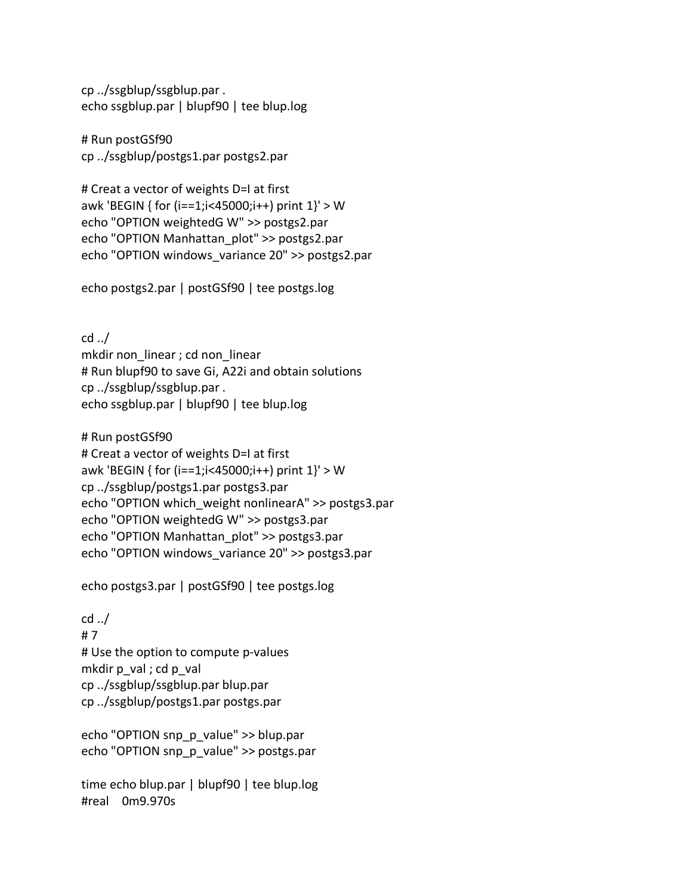cp ../ssgblup/ssgblup.par . echo ssgblup.par | blupf90 | tee blup.log

# Run postGSf90 cp ../ssgblup/postgs1.par postgs2.par

# Creat a vector of weights D=I at first awk 'BEGIN { for (i==1;i<45000;i++) print 1}' > W echo "OPTION weightedG W" >> postgs2.par echo "OPTION Manhattan\_plot" >> postgs2.par echo "OPTION windows\_variance 20" >> postgs2.par

echo postgs2.par | postGSf90 | tee postgs.log

cd ../ mkdir non\_linear ; cd non\_linear # Run blupf90 to save Gi, A22i and obtain solutions cp ../ssgblup/ssgblup.par . echo ssgblup.par | blupf90 | tee blup.log

# Run postGSf90 # Creat a vector of weights D=I at first awk 'BEGIN { for (i==1;i<45000;i++) print 1}' > W cp ../ssgblup/postgs1.par postgs3.par echo "OPTION which\_weight nonlinearA" >> postgs3.par echo "OPTION weightedG W" >> postgs3.par echo "OPTION Manhattan\_plot" >> postgs3.par echo "OPTION windows\_variance 20" >> postgs3.par

echo postgs3.par | postGSf90 | tee postgs.log

cd ../ # 7 # Use the option to compute p-values mkdir  $p$  val ; cd  $p$  val cp ../ssgblup/ssgblup.par blup.par cp ../ssgblup/postgs1.par postgs.par

echo "OPTION snp\_p\_value" >> blup.par echo "OPTION snp\_p\_value" >> postgs.par

time echo blup.par | blupf90 | tee blup.log #real 0m9.970s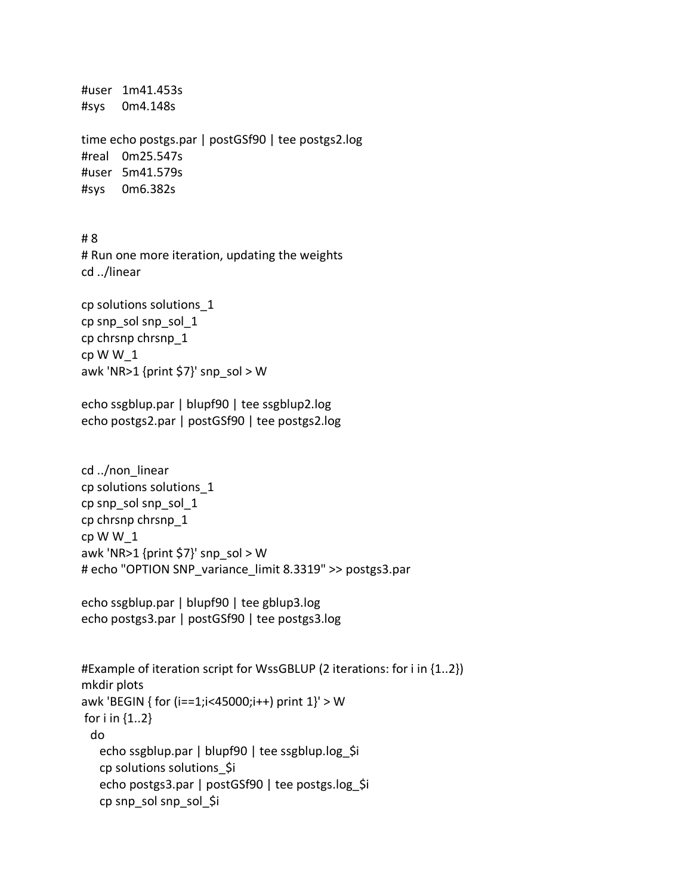```
#user 1m41.453s
#sys 0m4.148s
time echo postgs.par | postGSf90 | tee postgs2.log
#real 0m25.547s
#user 5m41.579s
#sys 0m6.382s
# 8
# Run one more iteration, updating the weights
cd ../linear
cp solutions solutions_1
cp snp_sol snp_sol_1
cp chrsnp chrsnp_1
cp W W_1
awk 'NR>1 {print $7}' snp_sol > W
echo ssgblup.par | blupf90 | tee ssgblup2.log
echo postgs2.par | postGSf90 | tee postgs2.log
cd ../non_linear
cp solutions solutions_1
cp snp_sol snp_sol_1
cp chrsnp chrsnp_1
cp W W_1
awk 'NR>1 {print $7}' snp_sol > W
# echo "OPTION SNP_variance_limit 8.3319" >> postgs3.par
echo ssgblup.par | blupf90 | tee gblup3.log
echo postgs3.par | postGSf90 | tee postgs3.log
#Example of iteration script for WssGBLUP (2 iterations: for i in {1..2})
mkdir plots
awk 'BEGIN { for (i==1;i<45000;i++) print 1}' > W
for i in \{1..2\} do
   echo ssgblup.par | blupf90 | tee ssgblup.log $i
    cp solutions solutions_$i
   echo postgs3.par | postGSf90 | tee postgs.log_$i
    cp snp_sol snp_sol_$i
```